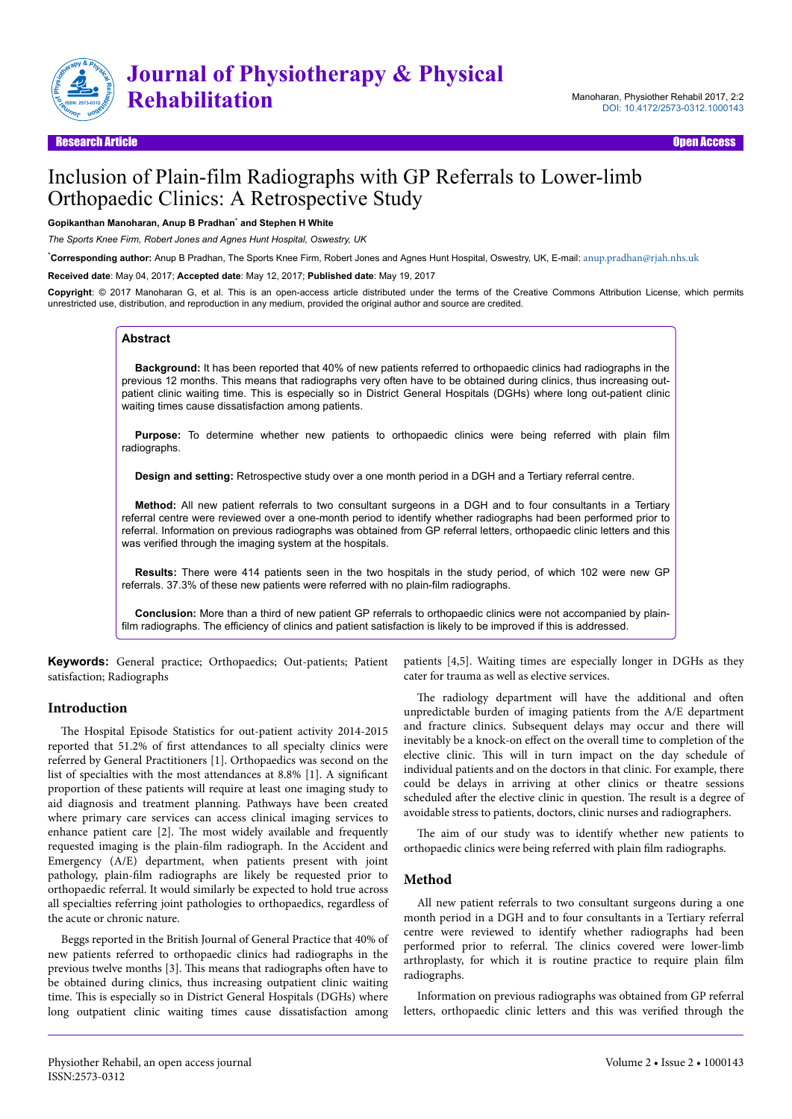

#### Research Article **Contract Contract Contract Contract Contract Contract Contract Contract Contract Contract Contract Contract Contract Contract Contract Contract Contract Contract Contract Contract Contract Contract Contra**

# Inclusion of Plain-film Radiographs with GP Referrals to Lower-limb Orthopaedic Clinics: A Retrospective Study

#### **Gopikanthan Manoharan, Anup B Pradhan**\*  **and Stephen H White**

*The Sports Knee Firm, Robert Jones and Agnes Hunt Hospital, Oswestry, UK*

\***Corresponding author:** Anup B Pradhan, The Sports Knee Firm, Robert Jones and Agnes Hunt Hospital, Oswestry, UK, E-mail: [anup.pradhan@rjah.nhs.uk](mailto:anup.pradhan@rjah.nhs.uk)

**Received date**: May 04, 2017; **Accepted date**: May 12, 2017; **Published date**: May 19, 2017

**Copyright**: © 2017 Manoharan G, et al. This is an open-access article distributed under the terms of the Creative Commons Attribution License, which permits unrestricted use, distribution, and reproduction in any medium, provided the original author and source are credited.

#### **Abstract**

**Background:** It has been reported that 40% of new patients referred to orthopaedic clinics had radiographs in the previous 12 months. This means that radiographs very often have to be obtained during clinics, thus increasing outpatient clinic waiting time. This is especially so in District General Hospitals (DGHs) where long out-patient clinic waiting times cause dissatisfaction among patients.

**Purpose:** To determine whether new patients to orthopaedic clinics were being referred with plain film radiographs.

**Design and setting:** Retrospective study over a one month period in a DGH and a Tertiary referral centre.

**Method:** All new patient referrals to two consultant surgeons in a DGH and to four consultants in a Tertiary referral centre were reviewed over a one-month period to identify whether radiographs had been performed prior to referral. Information on previous radiographs was obtained from GP referral letters, orthopaedic clinic letters and this was verified through the imaging system at the hospitals.

**Results:** There were 414 patients seen in the two hospitals in the study period, of which 102 were new GP referrals. 37.3% of these new patients were referred with no plain-film radiographs.

**Conclusion:** More than a third of new patient GP referrals to orthopaedic clinics were not accompanied by plainfilm radiographs. The efficiency of clinics and patient satisfaction is likely to be improved if this is addressed.

**Keywords:** General practice; Orthopaedics; Out-patients; Patient satisfaction; Radiographs

## **Introduction**

The Hospital Episode Statistics for out-patient activity 2014-2015 reported that 51.2% of first attendances to all specialty clinics were referred by General Practitioners [1]. Orthopaedics was second on the list of specialties with the most attendances at 8.8% [1]. A significant proportion of these patients will require at least one imaging study to aid diagnosis and treatment planning. Pathways have been created where primary care services can access clinical imaging services to enhance patient care [2]. Нe most widely available and frequently requested imaging is the plain-film radiograph. In the Accident and Emergency (A/E) department, when patients present with joint pathology, plain-film radiographs are likely be requested prior to orthopaedic referral. It would similarly be expected to hold true across all specialties referring joint pathologies to orthopaedics, regardless of the acute or chronic nature.

Beggs reported in the British Journal of General Practice that 40% of new patients referred to orthopaedic clinics had radiographs in the previous twelve months [3]. This means that radiographs often have to be obtained during clinics, thus increasing outpatient clinic waiting time. Нis is especially so in District General Hospitals (DGHs) where long outpatient clinic waiting times cause dissatisfaction among patients [4,5]. Waiting times are especially longer in DGHs as they cater for trauma as well as elective services.

The radiology department will have the additional and often unpredictable burden of imaging patients from the A/E department and fracture clinics. Subsequent delays may occur and there will inevitably be a knock-on effect on the overall time to completion of the elective clinic. Нis will in turn impact on the day schedule of individual patients and on the doctors in that clinic. For example, there could be delays in arriving at other clinics or theatre sessions scheduled after the elective clinic in question. The result is a degree of avoidable stress to patients, doctors, clinic nurses and radiographers.

The aim of our study was to identify whether new patients to orthopaedic clinics were being referred with plain film radiographs.

#### **Method**

All new patient referrals to two consultant surgeons during a one month period in a DGH and to four consultants in a Tertiary referral centre were reviewed to identify whether radiographs had been performed prior to referral. Нe clinics covered were lower-limb arthroplasty, for which it is routine practice to require plain film radiographs.

Information on previous radiographs was obtained from GP referral letters, orthopaedic clinic letters and this was verified through the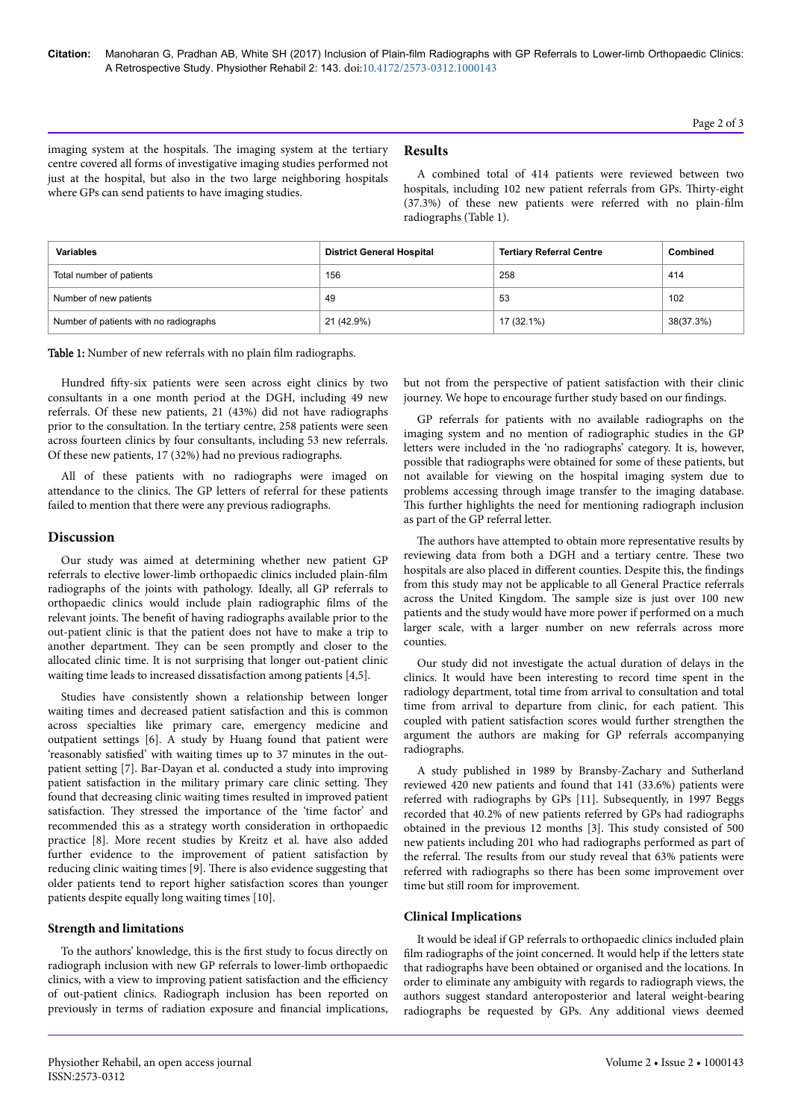**Citation:** Manoharan G, Pradhan AB, White SH (2017) Inclusion of Plain-film Radiographs with GP Referrals to Lower-limb Orthopaedic Clinics: A Retrospective Study. Physiother Rehabil 2: 143. doi:10.4172/2573-0312.1000143

Page 2 of 3

imaging system at the hospitals. Нe imaging system at the tertiary centre covered all forms of investigative imaging studies performed not just at the hospital, but also in the two large neighboring hospitals where GPs can send patients to have imaging studies.

# **Results**

A combined total of 414 patients were reviewed between two hospitals, including 102 new patient referrals from GPs. Нirty-eight (37.3%) of these new patients were referred with no plain-film radiographs (Table 1).

| <b>Variables</b>                       | <b>District General Hospital</b> | <b>Tertiary Referral Centre</b> | Combined  |
|----------------------------------------|----------------------------------|---------------------------------|-----------|
| Total number of patients               | 156                              | 258                             | 414       |
| Number of new patients                 | 49                               | 53                              | 102       |
| Number of patients with no radiographs | 21 (42.9%)                       | 17 (32.1%)                      | 38(37.3%) |

Table 1: Number of new referrals with no plain film radiographs.

Hundred fifty-six patients were seen across eight clinics by two consultants in a one month period at the DGH, including 49 new referrals. Of these new patients, 21 (43%) did not have radiographs prior to the consultation. In the tertiary centre, 258 patients were seen across fourteen clinics by four consultants, including 53 new referrals. Of these new patients, 17 (32%) had no previous radiographs.

All of these patients with no radiographs were imaged on attendance to the clinics. Нe GP letters of referral for these patients failed to mention that there were any previous radiographs.

## **Discussion**

Our study was aimed at determining whether new patient GP referrals to elective lower-limb orthopaedic clinics included plain-film radiographs of the joints with pathology. Ideally, all GP referrals to orthopaedic clinics would include plain radiographic films of the relevant joints. Нe benefit of having radiographs available prior to the out-patient clinic is that the patient does not have to make a trip to another department. Нey can be seen promptly and closer to the allocated clinic time. It is not surprising that longer out-patient clinic waiting time leads to increased dissatisfaction among patients [4,5].

Studies have consistently shown a relationship between longer waiting times and decreased patient satisfaction and this is common across specialties like primary care, emergency medicine and outpatient settings [6]. A study by Huang found that patient were 'reasonably satisfied' with waiting times up to 37 minutes in the outpatient setting [7]. Bar-Dayan et al. conducted a study into improving patient satisfaction in the military primary care clinic setting. Нey found that decreasing clinic waiting times resulted in improved patient satisfaction. Нey stressed the importance of the 'time factor' and recommended this as a strategy worth consideration in orthopaedic practice [8]. More recent studies by Kreitz et al. have also added further evidence to the improvement of patient satisfaction by reducing clinic waiting times [9]. Нere is also evidence suggesting that older patients tend to report higher satisfaction scores than younger patients despite equally long waiting times [10].

## **Strength and limitations**

To the authors' knowledge, this is the first study to focus directly on radiograph inclusion with new GP referrals to lower-limb orthopaedic clinics, with a view to improving patient satisfaction and the efficiency of out-patient clinics. Radiograph inclusion has been reported on previously in terms of radiation exposure and financial implications,

but not from the perspective of patient satisfaction with their clinic journey. We hope to encourage further study based on our findings.

GP referrals for patients with no available radiographs on the imaging system and no mention of radiographic studies in the GP letters were included in the 'no radiographs' category. It is, however, possible that radiographs were obtained for some of these patients, but not available for viewing on the hospital imaging system due to problems accessing through image transfer to the imaging database. This further highlights the need for mentioning radiograph inclusion as part of the GP referral letter.

The authors have attempted to obtain more representative results by reviewing data from both a DGH and a tertiary centre. Нese two hospitals are also placed in different counties. Despite this, the findings from this study may not be applicable to all General Practice referrals across the United Kingdom. Нe sample size is just over 100 new patients and the study would have more power if performed on a much larger scale, with a larger number on new referrals across more counties.

Our study did not investigate the actual duration of delays in the clinics. It would have been interesting to record time spent in the radiology department, total time from arrival to consultation and total time from arrival to departure from clinic, for each patient. Нis coupled with patient satisfaction scores would further strengthen the argument the authors are making for GP referrals accompanying radiographs.

A study published in 1989 by Bransby-Zachary and Sutherland reviewed 420 new patients and found that 141 (33.6%) patients were referred with radiographs by GPs [11]. Subsequently, in 1997 Beggs recorded that 40.2% of new patients referred by GPs had radiographs obtained in the previous 12 months [3]. Нis study consisted of 500 new patients including 201 who had radiographs performed as part of the referral. The results from our study reveal that 63% patients were referred with radiographs so there has been some improvement over time but still room for improvement.

# **Clinical Implications**

It would be ideal if GP referrals to orthopaedic clinics included plain film radiographs of the joint concerned. It would help if the letters state that radiographs have been obtained or organised and the locations. In order to eliminate any ambiguity with regards to radiograph views, the authors suggest standard anteroposterior and lateral weight-bearing radiographs be requested by GPs. Any additional views deemed